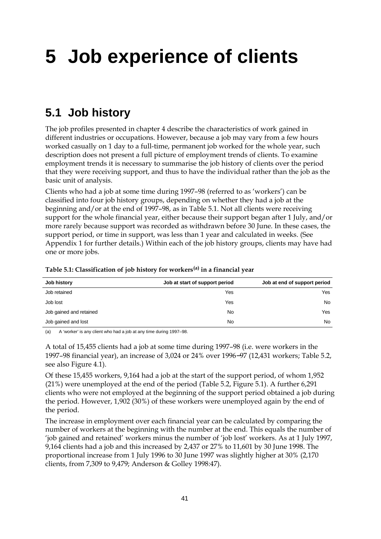# **5 Job experience of clients**

#### **5.1 Job history**

The job profiles presented in chapter 4 describe the characteristics of work gained in different industries or occupations. However, because a job may vary from a few hours worked casually on 1 day to a full-time, permanent job worked for the whole year, such description does not present a full picture of employment trends of clients. To examine employment trends it is necessary to summarise the job history of clients over the period that they were receiving support, and thus to have the individual rather than the job as the basic unit of analysis.

Clients who had a job at some time during 1997–98 (referred to as 'workers') can be classified into four job history groups, depending on whether they had a job at the beginning and/or at the end of 1997–98, as in Table 5.1. Not all clients were receiving support for the whole financial year, either because their support began after 1 July, and/or more rarely because support was recorded as withdrawn before 30 June. In these cases, the support period, or time in support, was less than 1 year and calculated in weeks. (See Appendix 1 for further details.) Within each of the job history groups, clients may have had one or more jobs.

| Job history             | Job at start of support period | Job at end of support period |
|-------------------------|--------------------------------|------------------------------|
| Job retained            | Yes                            | Yes                          |
| Job lost                | Yes                            | No.                          |
| Job gained and retained | No                             | Yes                          |
| Job gained and lost     | No                             | No.                          |

**Table 5.1: Classification of job history for workers(a) in a financial year**

(a) A 'worker' is any client who had a job at any time during 1997–98.

A total of 15,455 clients had a job at some time during 1997–98 (i.e. were workers in the 1997–98 financial year), an increase of 3,024 or 24% over 1996−97 (12,431 workers; Table 5.2, see also Figure 4.1).

Of these 15,455 workers, 9,164 had a job at the start of the support period, of whom 1,952 (21%) were unemployed at the end of the period (Table 5.2, Figure 5.1). A further 6,291 clients who were not employed at the beginning of the support period obtained a job during the period. However, 1,902 (30%) of these workers were unemployed again by the end of the period.

The increase in employment over each financial year can be calculated by comparing the number of workers at the beginning with the number at the end. This equals the number of 'job gained and retained' workers minus the number of 'job lost' workers. As at 1 July 1997, 9,164 clients had a job and this increased by 2,437 or 27% to 11,601 by 30 June 1998. The proportional increase from 1 July 1996 to 30 June 1997 was slightly higher at 30% (2,170 clients, from 7,309 to 9,479; Anderson & Golley 1998:47).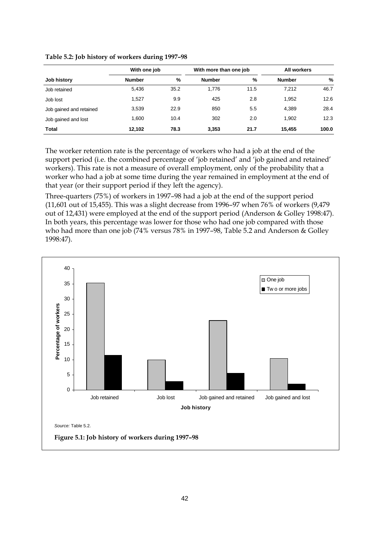|                         | With one job  |      | With more than one job |      | <b>All workers</b> |       |  |
|-------------------------|---------------|------|------------------------|------|--------------------|-------|--|
| Job history             | <b>Number</b> | $\%$ | <b>Number</b>          | %    | <b>Number</b>      | %     |  |
| Job retained            | 5,436         | 35.2 | 1.776                  | 11.5 | 7,212              | 46.7  |  |
| Job lost                | 1.527         | 9.9  | 425                    | 2.8  | 1,952              | 12.6  |  |
| Job gained and retained | 3,539         | 22.9 | 850                    | 5.5  | 4,389              | 28.4  |  |
| Job gained and lost     | 1,600         | 10.4 | 302                    | 2.0  | 1.902              | 12.3  |  |
| Total                   | 12.102        | 78.3 | 3,353                  | 21.7 | 15.455             | 100.0 |  |

**Table 5.2: Job history of workers during 1997–98**

The worker retention rate is the percentage of workers who had a job at the end of the support period (i.e. the combined percentage of 'job retained' and 'job gained and retained' workers). This rate is not a measure of overall employment, only of the probability that a worker who had a job at some time during the year remained in employment at the end of that year (or their support period if they left the agency).

Three-quarters (75%) of workers in 1997–98 had a job at the end of the support period (11,601 out of 15,455). This was a slight decrease from 1996–97 when 76% of workers (9,479 out of 12,431) were employed at the end of the support period (Anderson & Golley 1998:47). In both years, this percentage was lower for those who had one job compared with those who had more than one job (74% versus 78% in 1997–98, Table 5.2 and Anderson & Golley 1998:47).

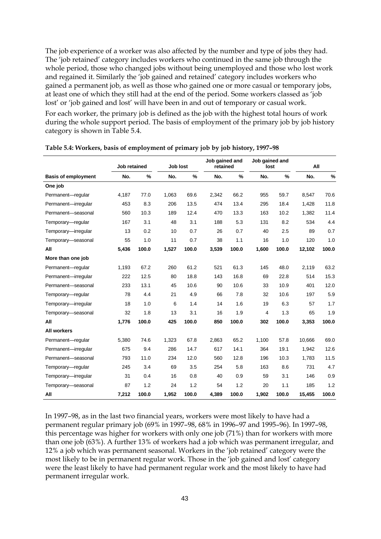The job experience of a worker was also affected by the number and type of jobs they had. The 'job retained' category includes workers who continued in the same job through the whole period, those who changed jobs without being unemployed and those who lost work and regained it. Similarly the 'job gained and retained' category includes workers who gained a permanent job, as well as those who gained one or more casual or temporary jobs, at least one of which they still had at the end of the period. Some workers classed as 'job lost' or 'job gained and lost' will have been in and out of temporary or casual work.

For each worker, the primary job is defined as the job with the highest total hours of work during the whole support period. The basis of employment of the primary job by job history category is shown in Table 5.4.

|                            | Job retained |               |       | Job lost      |       | Job gained and<br>retained |       | Job gained and<br>lost |        | All   |
|----------------------------|--------------|---------------|-------|---------------|-------|----------------------------|-------|------------------------|--------|-------|
| <b>Basis of employment</b> | No.          | $\frac{9}{6}$ | No.   | $\frac{9}{6}$ | No.   | $\frac{9}{6}$              | No.   | $\frac{9}{6}$          | No.    | $\%$  |
| One job                    |              |               |       |               |       |                            |       |                        |        |       |
| Permanent-regular          | 4,187        | 77.0          | 1,063 | 69.6          | 2,342 | 66.2                       | 955   | 59.7                   | 8,547  | 70.6  |
| Permanent-irregular        | 453          | 8.3           | 206   | 13.5          | 474   | 13.4                       | 295   | 18.4                   | 1,428  | 11.8  |
| Permanent-seasonal         | 560          | 10.3          | 189   | 12.4          | 470   | 13.3                       | 163   | 10.2                   | 1,382  | 11.4  |
| Temporary-regular          | 167          | 3.1           | 48    | 3.1           | 188   | 5.3                        | 131   | 8.2                    | 534    | 4.4   |
| Temporary-irregular        | 13           | 0.2           | 10    | 0.7           | 26    | 0.7                        | 40    | 2.5                    | 89     | 0.7   |
| Temporary-seasonal         | 55           | 1.0           | 11    | 0.7           | 38    | 1.1                        | 16    | 1.0                    | 120    | 1.0   |
| All                        | 5,436        | 100.0         | 1,527 | 100.0         | 3,539 | 100.0                      | 1,600 | 100.0                  | 12,102 | 100.0 |
| More than one job          |              |               |       |               |       |                            |       |                        |        |       |
| Permanent-regular          | 1,193        | 67.2          | 260   | 61.2          | 521   | 61.3                       | 145   | 48.0                   | 2,119  | 63.2  |
| Permanent-irregular        | 222          | 12.5          | 80    | 18.8          | 143   | 16.8                       | 69    | 22.8                   | 514    | 15.3  |
| Permanent-seasonal         | 233          | 13.1          | 45    | 10.6          | 90    | 10.6                       | 33    | 10.9                   | 401    | 12.0  |
| Temporary-regular          | 78           | 4.4           | 21    | 4.9           | 66    | 7.8                        | 32    | 10.6                   | 197    | 5.9   |
| Temporary-irregular        | 18           | 1.0           | 6     | 1.4           | 14    | 1.6                        | 19    | 6.3                    | 57     | 1.7   |
| Temporary-seasonal         | 32           | 1.8           | 13    | 3.1           | 16    | 1.9                        | 4     | 1.3                    | 65     | 1.9   |
| All                        | 1,776        | 100.0         | 425   | 100.0         | 850   | 100.0                      | 302   | 100.0                  | 3,353  | 100.0 |
| <b>All workers</b>         |              |               |       |               |       |                            |       |                        |        |       |
| Permanent-regular          | 5,380        | 74.6          | 1,323 | 67.8          | 2,863 | 65.2                       | 1,100 | 57.8                   | 10,666 | 69.0  |
| Permanent-irregular        | 675          | 9.4           | 286   | 14.7          | 617   | 14.1                       | 364   | 19.1                   | 1,942  | 12.6  |
| Permanent-seasonal         | 793          | 11.0          | 234   | 12.0          | 560   | 12.8                       | 196   | 10.3                   | 1,783  | 11.5  |
| Temporary-regular          | 245          | 3.4           | 69    | 3.5           | 254   | 5.8                        | 163   | 8.6                    | 731    | 4.7   |
| Temporary-irregular        | 31           | 0.4           | 16    | 0.8           | 40    | 0.9                        | 59    | 3.1                    | 146    | 0.9   |
| Temporary-seasonal         | 87           | 1.2           | 24    | 1.2           | 54    | 1.2                        | 20    | 1.1                    | 185    | 1.2   |
| All                        | 7,212        | 100.0         | 1,952 | 100.0         | 4,389 | 100.0                      | 1,902 | 100.0                  | 15,455 | 100.0 |

**Table 5.4: Workers, basis of employment of primary job by job history, 1997–98**

In 1997–98, as in the last two financial years, workers were most likely to have had a permanent regular primary job (69% in 1997–98, 68% in 1996–97 and 1995–96). In 1997–98, this percentage was higher for workers with only one job (71%) than for workers with more than one job (63%). A further 13% of workers had a job which was permanent irregular, and 12% a job which was permanent seasonal. Workers in the 'job retained' category were the most likely to be in permanent regular work. Those in the 'job gained and lost' category were the least likely to have had permanent regular work and the most likely to have had permanent irregular work.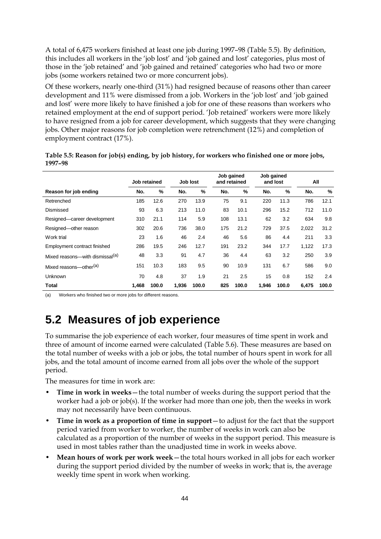A total of 6,475 workers finished at least one job during 1997–98 (Table 5.5). By definition, this includes all workers in the 'job lost' and 'job gained and lost' categories, plus most of those in the 'job retained' and 'job gained and retained' categories who had two or more jobs (some workers retained two or more concurrent jobs).

Of these workers, nearly one-third (31%) had resigned because of reasons other than career development and 11% were dismissed from a job. Workers in the 'job lost' and 'job gained and lost' were more likely to have finished a job for one of these reasons than workers who retained employment at the end of support period. 'Job retained' workers were more likely to have resigned from a job for career development, which suggests that they were changing jobs. Other major reasons for job completion were retrenchment (12%) and completion of employment contract (17%).

| 1997-98                |              |              |              |              |                            |                |                        |              |              |              |
|------------------------|--------------|--------------|--------------|--------------|----------------------------|----------------|------------------------|--------------|--------------|--------------|
|                        | Job retained |              | Job lost     |              | Job gained<br>and retained |                | Job gained<br>and lost |              | All          |              |
| Dannau fau iad an diam | $\mathbf{H}$ | $\mathbf{a}$ | $\mathbf{H}$ | $\mathbf{a}$ | $\mathbf{H}$               | $\overline{a}$ | $\mathbf{H}$           | $\mathbf{a}$ | $\mathbf{H}$ | $\mathbf{a}$ |

**Table 5.5: Reason for job(s) ending, by job history, for workers who finished one or more jobs,**

|                                             | Job retained |       |       | Job lost |     | and retained |       | and lost |       | All   |  |
|---------------------------------------------|--------------|-------|-------|----------|-----|--------------|-------|----------|-------|-------|--|
| Reason for job ending                       | No.          | %     | No.   | %        | No. | %            | No.   | %        | No.   | %     |  |
| Retrenched                                  | 185          | 12.6  | 270   | 13.9     | 75  | 9.1          | 220   | 11.3     | 786   | 12.1  |  |
| Dismissed                                   | 93           | 6.3   | 213   | 11.0     | 83  | 10.1         | 296   | 15.2     | 712   | 11.0  |  |
| Resigned-career development                 | 310          | 21.1  | 114   | 5.9      | 108 | 13.1         | 62    | 3.2      | 634   | 9.8   |  |
| Resigned-other reason                       | 302          | 20.6  | 736   | 38.0     | 175 | 21.2         | 729   | 37.5     | 2,022 | 31.2  |  |
| Work trial                                  | 23           | 1.6   | 46    | 2.4      | 46  | 5.6          | 86    | 4.4      | 211   | 3.3   |  |
| Employment contract finished                | 286          | 19.5  | 246   | 12.7     | 191 | 23.2         | 344   | 17.7     | 1,122 | 17.3  |  |
| Mixed reasons—with dismissal <sup>(a)</sup> | 48           | 3.3   | 91    | 4.7      | 36  | 4.4          | 63    | 3.2      | 250   | 3.9   |  |
| Mixed reasons-other <sup>(a)</sup>          | 151          | 10.3  | 183   | 9.5      | 90  | 10.9         | 131   | 6.7      | 586   | 9.0   |  |
| Unknown                                     | 70           | 4.8   | 37    | 1.9      | 21  | 2.5          | 15    | 0.8      | 152   | 2.4   |  |
| Total                                       | 1.468        | 100.0 | 1,936 | 100.0    | 825 | 100.0        | 1,946 | 100.0    | 6.475 | 100.0 |  |

(a) Workers who finished two or more jobs for different reasons.

# **5.2 Measures of job experience**

To summarise the job experience of each worker, four measures of time spent in work and three of amount of income earned were calculated (Table 5.6). These measures are based on the total number of weeks with a job or jobs, the total number of hours spent in work for all jobs, and the total amount of income earned from all jobs over the whole of the support period.

The measures for time in work are:

- **Time in work in weeks**—the total number of weeks during the support period that the worker had a job or job(s). If the worker had more than one job, then the weeks in work may not necessarily have been continuous.
- **Time in work as a proportion of time in support**—to adjust for the fact that the support period varied from worker to worker, the number of weeks in work can also be calculated as a proportion of the number of weeks in the support period. This measure is used in most tables rather than the unadjusted time in work in weeks above.
- **Mean hours of work per work week**—the total hours worked in all jobs for each worker during the support period divided by the number of weeks in work; that is, the average weekly time spent in work when working.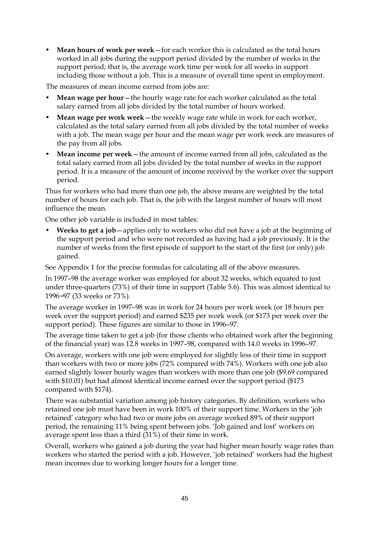• **Mean hours of work per week**—for each worker this is calculated as the total hours worked in all jobs during the support period divided by the number of weeks in the support period; that is, the average work time per week for all weeks in support including those without a job. This is a measure of overall time spent in employment.

The measures of mean income earned from jobs are:

- **Mean wage per hour**—the hourly wage rate for each worker calculated as the total salary earned from all jobs divided by the total number of hours worked.
- **Mean wage per work week**—the weekly wage rate while in work for each worker, calculated as the total salary earned from all jobs divided by the total number of weeks with a job. The mean wage per hour and the mean wage per work week are measures of the pay from all jobs.
- **Mean income per week**—the amount of income earned from all jobs, calculated as the total salary earned from all jobs divided by the total number of weeks in the support period. It is a measure of the amount of income received by the worker over the support period.

Thus for workers who had more than one job, the above means are weighted by the total number of hours for each job. That is, the job with the largest number of hours will most influence the mean.

One other job variable is included in most tables:

• **Weeks to get a job**—applies only to workers who did not have a job at the beginning of the support period and who were not recorded as having had a job previously. It is the number of weeks from the first episode of support to the start of the first (or only) job gained.

See Appendix 1 for the precise formulas for calculating all of the above measures.

In 1997–98 the average worker was employed for about 32 weeks, which equated to just under three-quarters (73%) of their time in support (Table 5.6). This was almost identical to 1996−97 (33 weeks or 73%).

The average worker in 1997–98 was in work for 24 hours per work week (or 18 hours per week over the support period) and earned \$235 per work week (or \$173 per week over the support period). These figures are similar to those in 1996–97.

The average time taken to get a job (for those clients who obtained work after the beginning of the financial year) was 12.8 weeks in 1997–98, compared with 14.0 weeks in 1996–97.

On average, workers with one job were employed for slightly less of their time in support than workers with two or more jobs (72% compared with 74%). Workers with one job also earned slightly lower hourly wages than workers with more than one job (\$9.69 compared with \$10.01) but had almost identical income earned over the support period (\$173 compared with \$174).

There was substantial variation among job history categories. By definition, workers who retained one job must have been in work 100% of their support time. Workers in the 'job retained' category who had two or more jobs on average worked 89% of their support period, the remaining 11% being spent between jobs. 'Job gained and lost' workers on average spent less than a third (31%) of their time in work.

Overall, workers who gained a job during the year had higher mean hourly wage rates than workers who started the period with a job. However, 'job retained' workers had the highest mean incomes due to working longer hours for a longer time.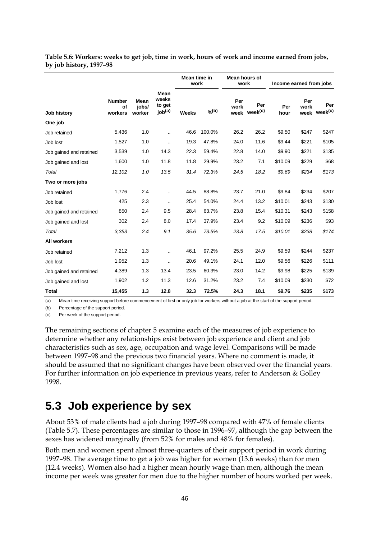|                         |                                |                         |                                               | Mean time in<br>work |               | Mean hours of<br>work |                                 | Income earned from jobs |             |                                 |
|-------------------------|--------------------------------|-------------------------|-----------------------------------------------|----------------------|---------------|-----------------------|---------------------------------|-------------------------|-------------|---------------------------------|
| Job history<br>One job  | <b>Number</b><br>of<br>workers | Mean<br>jobs/<br>worker | Mean<br>weeks<br>to get<br>job <sup>(a)</sup> | Weeks                | $\gamma_0(b)$ | Per<br>work           | Per<br>week week <sup>(c)</sup> | Per<br>hour             | Per<br>work | Per<br>week week <sup>(c)</sup> |
|                         |                                |                         |                                               |                      |               |                       |                                 |                         |             |                                 |
| Job retained            | 5,436                          | 1.0                     |                                               | 46.6                 | 100.0%        | 26.2                  | 26.2                            | \$9.50                  | \$247       | \$247                           |
| Job lost                | 1,527                          | 1.0                     |                                               | 19.3                 | 47.8%         | 24.0                  | 11.6                            | \$9.44                  | \$221       | \$105                           |
| Job gained and retained | 3,539                          | 1.0                     | 14.3                                          | 22.3                 | 59.4%         | 22.8                  | 14.0                            | \$9.90                  | \$221       | \$135                           |
| Job gained and lost     | 1,600                          | 1.0                     | 11.8                                          | 11.8                 | 29.9%         | 23.2                  | 7.1                             | \$10.09                 | \$229       | \$68                            |
| Total                   | 12,102                         | 1.0                     | 13.5                                          | 31.4                 | 72.3%         | 24.5                  | 18.2                            | \$9.69                  | \$234       | \$173                           |
| Two or more jobs        |                                |                         |                                               |                      |               |                       |                                 |                         |             |                                 |
| Job retained            | 1,776                          | 2.4                     |                                               | 44.5                 | 88.8%         | 23.7                  | 21.0                            | \$9.84                  | \$234       | \$207                           |
| Job lost                | 425                            | 2.3                     | $\ddot{\phantom{a}}$                          | 25.4                 | 54.0%         | 24.4                  | 13.2                            | \$10.01                 | \$243       | \$130                           |
| Job gained and retained | 850                            | 2.4                     | 9.5                                           | 28.4                 | 63.7%         | 23.8                  | 15.4                            | \$10.31                 | \$243       | \$158                           |
| Job gained and lost     | 302                            | 2.4                     | 8.0                                           | 17.4                 | 37.9%         | 23.4                  | 9.2                             | \$10.09                 | \$236       | \$93                            |
| Total                   | 3,353                          | 2.4                     | 9.1                                           | 35.6                 | 73.5%         | 23.8                  | 17.5                            | \$10.01                 | \$238       | \$174                           |
| <b>All workers</b>      |                                |                         |                                               |                      |               |                       |                                 |                         |             |                                 |
| Job retained            | 7,212                          | 1.3                     | ٠.                                            | 46.1                 | 97.2%         | 25.5                  | 24.9                            | \$9.59                  | \$244       | \$237                           |
| Job lost                | 1,952                          | 1.3                     |                                               | 20.6                 | 49.1%         | 24.1                  | 12.0                            | \$9.56                  | \$226       | \$111                           |
| Job gained and retained | 4,389                          | 1.3                     | 13.4                                          | 23.5                 | 60.3%         | 23.0                  | 14.2                            | \$9.98                  | \$225       | \$139                           |
| Job gained and lost     | 1,902                          | 1.2                     | 11.3                                          | 12.6                 | 31.2%         | 23.2                  | 7.4                             | \$10.09                 | \$230       | \$72                            |
| <b>Total</b>            | 15,455                         | 1.3                     | 12.8                                          | 32.3                 | 72.5%         | 24.3                  | 18.1                            | \$9.76                  | \$235       | \$173                           |

**Table 5.6: Workers: weeks to get job, time in work, hours of work and income earned from jobs, by job history, 1997–98**

(a) Mean time receiving support before commencement of first or only job for workers without a job at the start of the support period.

(b) Percentage of the support period.

(c) Per week of the support period.

The remaining sections of chapter 5 examine each of the measures of job experience to determine whether any relationships exist between job experience and client and job characteristics such as sex, age, occupation and wage level. Comparisons will be made between 1997–98 and the previous two financial years. Where no comment is made, it should be assumed that no significant changes have been observed over the financial years. For further information on job experience in previous years, refer to Anderson & Golley 1998.

#### **5.3 Job experience by sex**

About 53% of male clients had a job during 1997–98 compared with 47% of female clients (Table 5.7). These percentages are similar to those in 1996–97, although the gap between the sexes has widened marginally (from 52% for males and 48% for females).

Both men and women spent almost three-quarters of their support period in work during 1997–98. The average time to get a job was higher for women (13.6 weeks) than for men (12.4 weeks). Women also had a higher mean hourly wage than men, although the mean income per week was greater for men due to the higher number of hours worked per week.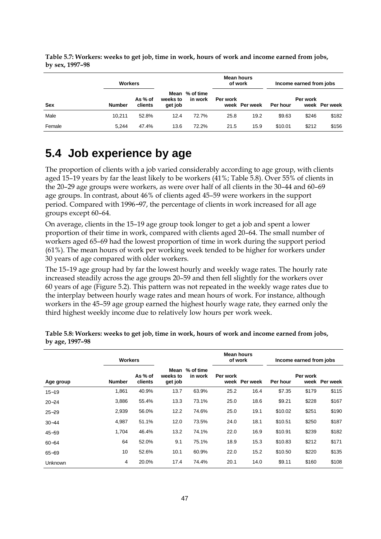|            | <b>Workers</b> |                    |                     |                           | <b>Mean hours</b><br>of work |               | Income earned from jobs |          |               |
|------------|----------------|--------------------|---------------------|---------------------------|------------------------------|---------------|-------------------------|----------|---------------|
| <b>Sex</b> | <b>Number</b>  | As % of<br>clients | weeks to<br>get job | Mean % of time<br>in work | Per work                     | week Per week | Per hour                | Per work | week Per week |
| Male       | 10.211         | 52.8%              | 12.4                | 72.7%                     | 25.8                         | 19.2          | \$9.63                  | \$246    | \$182         |
| Female     | 5.244          | 47.4%              | 13.6                | 72.2%                     | 21.5                         | 15.9          | \$10.01                 | \$212    | \$156         |

**Table 5.7: Workers: weeks to get job, time in work, hours of work and income earned from jobs, by sex, 1997–98**

## **5.4 Job experience by age**

The proportion of clients with a job varied considerably according to age group, with clients aged 15–19 years by far the least likely to be workers (41%; Table 5.8). Over 55% of clients in the 20–29 age groups were workers, as were over half of all clients in the 30–44 and 60–69 age groups. In contrast, about 46% of clients aged 45–59 were workers in the support period. Compared with 1996−97, the percentage of clients in work increased for all age groups except 60–64.

On average, clients in the 15–19 age group took longer to get a job and spent a lower proportion of their time in work, compared with clients aged 20–64. The small number of workers aged 65–69 had the lowest proportion of time in work during the support period (61%). The mean hours of work per working week tended to be higher for workers under 30 years of age compared with older workers.

The 15–19 age group had by far the lowest hourly and weekly wage rates. The hourly rate increased steadily across the age groups 20–59 and then fell slightly for the workers over 60 years of age (Figure 5.2). This pattern was not repeated in the weekly wage rates due to the interplay between hourly wage rates and mean hours of work. For instance, although workers in the 45–59 age group earned the highest hourly wage rate, they earned only the third highest weekly income due to relatively low hours per work week.

|           |               | <b>Workers</b>     |                             |                      | Mean hours | of work       | Income earned from jobs |          |               |
|-----------|---------------|--------------------|-----------------------------|----------------------|------------|---------------|-------------------------|----------|---------------|
| Age group | <b>Number</b> | As % of<br>clients | Mean<br>weeks to<br>get job | % of time<br>in work | Per work   | week Per week | Per hour                | Per work | week Per week |
| $15 - 19$ | 1,861         | 40.9%              | 13.7                        | 63.9%                | 25.2       | 16.4          | \$7.35                  | \$179    | \$115         |
| $20 - 24$ | 3,886         | 55.4%              | 13.3                        | 73.1%                | 25.0       | 18.6          | \$9.21                  | \$228    | \$167         |
| $25 - 29$ | 2,939         | 56.0%              | 12.2                        | 74.6%                | 25.0       | 19.1          | \$10.02                 | \$251    | \$190         |
| $30 - 44$ | 4,987         | 51.1%              | 12.0                        | 73.5%                | 24.0       | 18.1          | \$10.51                 | \$250    | \$187         |
| $45 - 59$ | 1,704         | 46.4%              | 13.2                        | 74.1%                | 22.0       | 16.9          | \$10.91                 | \$239    | \$182         |
| $60 - 64$ | 64            | 52.0%              | 9.1                         | 75.1%                | 18.9       | 15.3          | \$10.83                 | \$212    | \$171         |
| $65 - 69$ | 10            | 52.6%              | 10.1                        | 60.9%                | 22.0       | 15.2          | \$10.50                 | \$220    | \$135         |
| Unknown   | 4             | 20.0%              | 17.4                        | 74.4%                | 20.1       | 14.0          | \$9.11                  | \$160    | \$108         |

**Table 5.8: Workers: weeks to get job, time in work, hours of work and income earned from jobs, by age, 1997–98**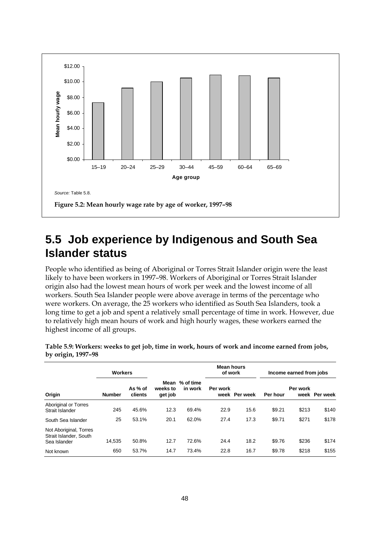

#### **5.5 Job experience by Indigenous and South Sea Islander status**

People who identified as being of Aboriginal or Torres Strait Islander origin were the least likely to have been workers in 1997–98. Workers of Aboriginal or Torres Strait Islander origin also had the lowest mean hours of work per week and the lowest income of all workers. South Sea Islander people were above average in terms of the percentage who were workers. On average, the 25 workers who identified as South Sea Islanders, took a long time to get a job and spent a relatively small percentage of time in work. However, due to relatively high mean hours of work and high hourly wages, these workers earned the highest income of all groups.

|                                                                  | <b>Workers</b> |                    |                             |                      | <b>Mean hours</b><br>of work |               | Income earned from jobs |          |               |
|------------------------------------------------------------------|----------------|--------------------|-----------------------------|----------------------|------------------------------|---------------|-------------------------|----------|---------------|
| Origin                                                           | <b>Number</b>  | As % of<br>clients | Mean<br>weeks to<br>get job | % of time<br>in work | Per work                     | week Per week | Per hour                | Per work | week Per week |
| <b>Aboriginal or Torres</b><br>Strait Islander                   | 245            | 45.6%              | 12.3                        | 69.4%                | 22.9                         | 15.6          | \$9.21                  | \$213    | \$140         |
| South Sea Islander                                               | 25             | 53.1%              | 20.1                        | 62.0%                | 27.4                         | 17.3          | \$9.71                  | \$271    | \$178         |
| Not Aboriginal, Torres<br>Strait Islander, South<br>Sea Islander | 14,535         | 50.8%              | 12.7                        | 72.6%                | 24.4                         | 18.2          | \$9.76                  | \$236    | \$174         |
| Not known                                                        | 650            | 53.7%              | 14.7                        | 73.4%                | 22.8                         | 16.7          | \$9.78                  | \$218    | \$155         |

**Table 5.9: Workers: weeks to get job, time in work, hours of work and income earned from jobs, by origin, 1997–98**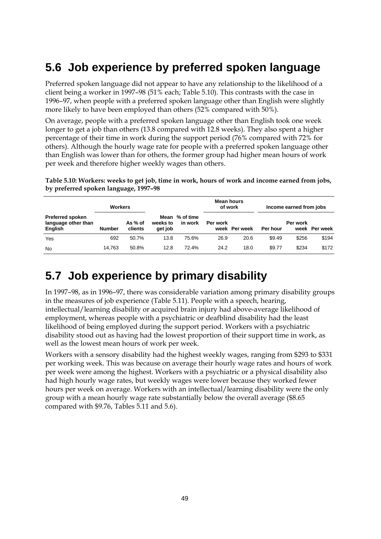## **5.6 Job experience by preferred spoken language**

Preferred spoken language did not appear to have any relationship to the likelihood of a client being a worker in 1997–98 (51% each; Table 5.10). This contrasts with the case in 1996–97, when people with a preferred spoken language other than English were slightly more likely to have been employed than others (52% compared with 50%).

On average, people with a preferred spoken language other than English took one week longer to get a job than others (13.8 compared with 12.8 weeks). They also spent a higher percentage of their time in work during the support period (76% compared with 72% for others). Although the hourly wage rate for people with a preferred spoken language other than English was lower than for others, the former group had higher mean hours of work per week and therefore higher weekly wages than others.

**Table 5.10: Workers: weeks to get job, time in work, hours of work and income earned from jobs, by preferred spoken language, 1997–98**

|                                                                  | <b>Workers</b> |                    |                     |                           |          | <b>Mean hours</b><br>of work |          | Income earned from jobs |               |
|------------------------------------------------------------------|----------------|--------------------|---------------------|---------------------------|----------|------------------------------|----------|-------------------------|---------------|
| <b>Preferred spoken</b><br>language other than<br><b>English</b> | <b>Number</b>  | As % of<br>clients | weeks to<br>get job | Mean % of time<br>in work | Per work | week Per week                | Per hour | Per work                | week Per week |
| Yes                                                              | 692            | 50.7%              | 13.8                | 75.6%                     | 26.9     | 20.6                         | \$9.49   | \$256                   | \$194         |
| <b>No</b>                                                        | 14.763         | 50.8%              | 12.8                | 72.4%                     | 24.2     | 18.0                         | \$9.77   | \$234                   | \$172         |

#### **5.7 Job experience by primary disability**

In 1997–98, as in 1996–97, there was considerable variation among primary disability groups in the measures of job experience (Table 5.11). People with a speech, hearing, intellectual/learning disability or acquired brain injury had above-average likelihood of employment, whereas people with a psychiatric or deafblind disability had the least likelihood of being employed during the support period. Workers with a psychiatric disability stood out as having had the lowest proportion of their support time in work, as well as the lowest mean hours of work per week.

Workers with a sensory disability had the highest weekly wages, ranging from \$293 to \$331 per working week. This was because on average their hourly wage rates and hours of work per week were among the highest. Workers with a psychiatric or a physical disability also had high hourly wage rates, but weekly wages were lower because they worked fewer hours per week on average. Workers with an intellectual/learning disability were the only group with a mean hourly wage rate substantially below the overall average (\$8.65 compared with \$9.76, Tables 5.11 and 5.6).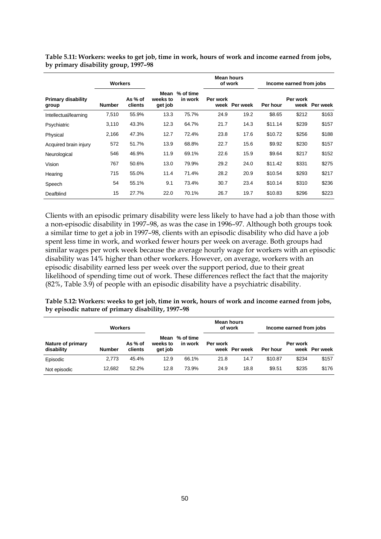|                                    | <b>Workers</b> |                    |                             |                      | Mean hours | of work       | Income earned from jobs |                  |          |  |
|------------------------------------|----------------|--------------------|-----------------------------|----------------------|------------|---------------|-------------------------|------------------|----------|--|
| <b>Primary disability</b><br>group | <b>Number</b>  | As % of<br>clients | Mean<br>weeks to<br>get job | % of time<br>in work | Per work   | week Per week | Per hour                | Per work<br>week | Per week |  |
| Intellectual/learning              | 7,510          | 55.9%              | 13.3                        | 75.7%                | 24.9       | 19.2          | \$8.65                  | \$212            | \$163    |  |
| Psychiatric                        | 3,110          | 43.3%              | 12.3                        | 64.7%                | 21.7       | 14.3          | \$11.14                 | \$239            | \$157    |  |
| Physical                           | 2,166          | 47.3%              | 12.7                        | 72.4%                | 23.8       | 17.6          | \$10.72                 | \$256            | \$188    |  |
| Acquired brain injury              | 572            | 51.7%              | 13.9                        | 68.8%                | 22.7       | 15.6          | \$9.92                  | \$230            | \$157    |  |
| Neurological                       | 546            | 46.9%              | 11.9                        | 69.1%                | 22.6       | 15.9          | \$9.64                  | \$217            | \$152    |  |
| Vision                             | 767            | 50.6%              | 13.0                        | 79.9%                | 29.2       | 24.0          | \$11.42                 | \$331            | \$275    |  |
| Hearing                            | 715            | 55.0%              | 11.4                        | 71.4%                | 28.2       | 20.9          | \$10.54                 | \$293            | \$217    |  |
| Speech                             | 54             | 55.1%              | 9.1                         | 73.4%                | 30.7       | 23.4          | \$10.14                 | \$310            | \$236    |  |
| Deafblind                          | 15             | 27.7%              | 22.0                        | 70.1%                | 26.7       | 19.7          | \$10.83                 | \$296            | \$223    |  |

**Table 5.11: Workers: weeks to get job, time in work, hours of work and income earned from jobs, by primary disability group, 1997–98**

Clients with an episodic primary disability were less likely to have had a job than those with a non-episodic disability in 1997–98, as was the case in 1996–97. Although both groups took a similar time to get a job in 1997–98, clients with an episodic disability who did have a job spent less time in work, and worked fewer hours per week on average. Both groups had similar wages per work week because the average hourly wage for workers with an episodic disability was 14% higher than other workers. However, on average, workers with an episodic disability earned less per week over the support period, due to their great likelihood of spending time out of work. These differences reflect the fact that the majority (82%, Table 3.9) of people with an episodic disability have a psychiatric disability.

**Table 5.12: Workers: weeks to get job, time in work, hours of work and income earned from jobs, by episodic nature of primary disability, 1997–98**

|                                 | <b>Workers</b> |                    |                             |                      | <b>Mean hours</b><br>of work |               | Income earned from jobs |          |               |
|---------------------------------|----------------|--------------------|-----------------------------|----------------------|------------------------------|---------------|-------------------------|----------|---------------|
| Nature of primary<br>disability | <b>Number</b>  | As % of<br>clients | Mean<br>weeks to<br>get job | % of time<br>in work | Per work                     | week Per week | Per hour                | Per work | week Per week |
| Episodic                        | 2.773          | 45.4%              | 12.9                        | 66.1%                | 21.8                         | 14.7          | \$10.87                 | \$234    | \$157         |
| Not episodic                    | 12,682         | 52.2%              | 12.8                        | 73.9%                | 24.9                         | 18.8          | \$9.51                  | \$235    | \$176         |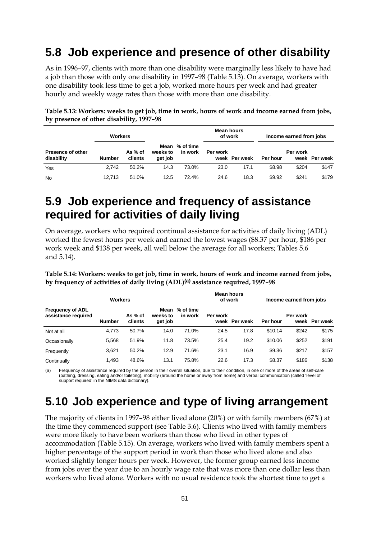#### **5.8 Job experience and presence of other disability**

As in 1996–97, clients with more than one disability were marginally less likely to have had a job than those with only one disability in 1997–98 (Table 5.13). On average, workers with one disability took less time to get a job, worked more hours per week and had greater hourly and weekly wage rates than those with more than one disability.

|                                        | <b>Workers</b> |                    |                             |                      | <b>Mean hours</b><br>of work |               | Income earned from jobs |          |               |
|----------------------------------------|----------------|--------------------|-----------------------------|----------------------|------------------------------|---------------|-------------------------|----------|---------------|
| <b>Presence of other</b><br>disability | <b>Number</b>  | As % of<br>clients | Mean<br>weeks to<br>get job | % of time<br>in work | Per work                     | week Per week | Per hour                | Per work | week Per week |
| Yes                                    | 2.742          | 50.2%              | 14.3                        | 73.0%                | 23.0                         | 17.1          | \$8.98                  | \$204    | \$147         |
| <b>No</b>                              | 12.713         | 51.0%              | 12.5                        | 72.4%                | 24.6                         | 18.3          | \$9.92                  | \$241    | \$179         |

**Table 5.13: Workers: weeks to get job, time in work, hours of work and income earned from jobs, by presence of other disability, 1997–98**

#### **5.9 Job experience and frequency of assistance required for activities of daily living**

On average, workers who required continual assistance for activities of daily living (ADL) worked the fewest hours per week and earned the lowest wages (\$8.37 per hour, \$186 per work week and \$138 per week, all well below the average for all workers; Tables 5.6 and 5.14).

**Table 5.14: Workers: weeks to get job, time in work, hours of work and income earned from jobs, by frequency of activities of daily living (ADL)(a) assistance required, 1997–98**

|                                                | <b>Workers</b> |                    |                             |                        | Mean hours<br>of work |               | Income earned from jobs |          |               |
|------------------------------------------------|----------------|--------------------|-----------------------------|------------------------|-----------------------|---------------|-------------------------|----------|---------------|
| <b>Frequency of ADL</b><br>assistance required | <b>Number</b>  | As % of<br>clients | Mean<br>weeks to<br>get job | $%$ of time<br>in work | Per work              | week Per week | Per hour                | Per work | week Per week |
| Not at all                                     | 4,773          | 50.7%              | 14.0                        | 71.0%                  | 24.5                  | 17.8          | \$10.14                 | \$242    | \$175         |
| Occasionally                                   | 5,568          | 51.9%              | 11.8                        | 73.5%                  | 25.4                  | 19.2          | \$10.06                 | \$252    | \$191         |
| Frequently                                     | 3,621          | 50.2%              | 12.9                        | 71.6%                  | 23.1                  | 16.9          | \$9.36                  | \$217    | \$157         |
| Continually                                    | 1,493          | 48.6%              | 13.1                        | 75.8%                  | 22.6                  | 17.3          | \$8.37                  | \$186    | \$138         |

(a) Frequency of assistance required by the person in their overall situation, due to their condition, in one or more of the areas of self-care (bathing, dressing, eating and/or toileting), mobility (around the home or away from home) and verbal communication (called 'level of support required' in the NIMS data dictionary).

## **5.10 Job experience and type of living arrangement**

The majority of clients in 1997–98 either lived alone (20%) or with family members (67%) at the time they commenced support (see Table 3.6). Clients who lived with family members were more likely to have been workers than those who lived in other types of accommodation (Table 5.15). On average, workers who lived with family members spent a higher percentage of the support period in work than those who lived alone and also worked slightly longer hours per week. However, the former group earned less income from jobs over the year due to an hourly wage rate that was more than one dollar less than workers who lived alone. Workers with no usual residence took the shortest time to get a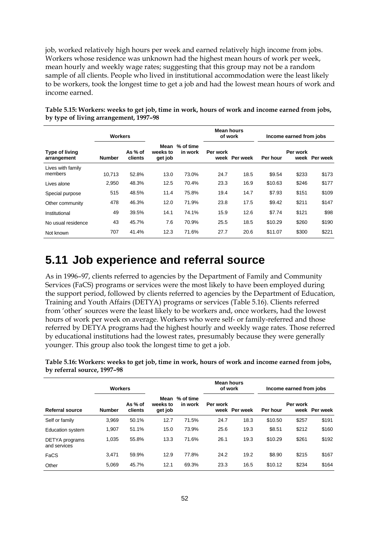job, worked relatively high hours per week and earned relatively high income from jobs. Workers whose residence was unknown had the highest mean hours of work per week, mean hourly and weekly wage rates; suggesting that this group may not be a random sample of all clients. People who lived in institutional accommodation were the least likely to be workers, took the longest time to get a job and had the lowest mean hours of work and income earned.

|                                      | <b>Workers</b> |                    |                     |                           | Mean hours<br>of work |          | Income earned from jobs |          |               |
|--------------------------------------|----------------|--------------------|---------------------|---------------------------|-----------------------|----------|-------------------------|----------|---------------|
| <b>Type of living</b><br>arrangement | <b>Number</b>  | As % of<br>clients | weeks to<br>get job | Mean % of time<br>in work | Per work<br>week      | Per week | Per hour                | Per work | week Per week |
| Lives with family<br>members         | 10.713         | 52.8%              | 13.0                | 73.0%                     | 24.7                  | 18.5     | \$9.54                  | \$233    | \$173         |
| Lives alone                          | 2,950          | 48.3%              | 12.5                | 70.4%                     | 23.3                  | 16.9     | \$10.63                 | \$246    | \$177         |
| Special purpose                      | 515            | 48.5%              | 11.4                | 75.8%                     | 19.4                  | 14.7     | \$7.93                  | \$151    | \$109         |
| Other community                      | 478            | 46.3%              | 12.0                | 71.9%                     | 23.8                  | 17.5     | \$9.42                  | \$211    | \$147         |
| Institutional                        | 49             | 39.5%              | 14.1                | 74.1%                     | 15.9                  | 12.6     | \$7.74                  | \$121    | \$98          |
| No usual residence                   | 43             | 45.7%              | 7.6                 | 70.9%                     | 25.5                  | 18.5     | \$10.29                 | \$260    | \$190         |
| Not known                            | 707            | 41.4%              | 12.3                | 71.6%                     | 27.7                  | 20.6     | \$11.07                 | \$300    | \$221         |

**Table 5.15: Workers: weeks to get job, time in work, hours of work and income earned from jobs, by type of living arrangement, 1997–98**

#### **5.11 Job experience and referral source**

As in 1996–97, clients referred to agencies by the Department of Family and Community Services (FaCS) programs or services were the most likely to have been employed during the support period, followed by clients referred to agencies by the Department of Education, Training and Youth Affairs (DETYA) programs or services (Table 5.16). Clients referred from 'other' sources were the least likely to be workers and, once workers, had the lowest hours of work per week on average. Workers who were self- or family-referred and those referred by DETYA programs had the highest hourly and weekly wage rates. Those referred by educational institutions had the lowest rates, presumably because they were generally younger. This group also took the longest time to get a job.

**Table 5.16: Workers: weeks to get job, time in work, hours of work and income earned from jobs, by referral source, 1997–98**

|                                | <b>Workers</b> |                    |                     |                           | Mean hours<br>of work |          | Income earned from jobs |                  |          |
|--------------------------------|----------------|--------------------|---------------------|---------------------------|-----------------------|----------|-------------------------|------------------|----------|
| Referral source                | <b>Number</b>  | As % of<br>clients | weeks to<br>get job | Mean % of time<br>in work | Per work<br>week      | Per week | Per hour                | Per work<br>week | Per week |
| Self or family                 | 3.969          | 50.1%              | 12.7                | 71.5%                     | 24.7                  | 18.3     | \$10.50                 | \$257            | \$191    |
| <b>Education system</b>        | 1,907          | 51.1%              | 15.0                | 73.9%                     | 25.6                  | 19.3     | \$8.51                  | \$212            | \$160    |
| DETYA programs<br>and services | 1,035          | 55.8%              | 13.3                | 71.6%                     | 26.1                  | 19.3     | \$10.29                 | \$261            | \$192    |
| FaCS                           | 3,471          | 59.9%              | 12.9                | 77.8%                     | 24.2                  | 19.2     | \$8.90                  | \$215            | \$167    |
| Other                          | 5.069          | 45.7%              | 12.1                | 69.3%                     | 23.3                  | 16.5     | \$10.12                 | \$234            | \$164    |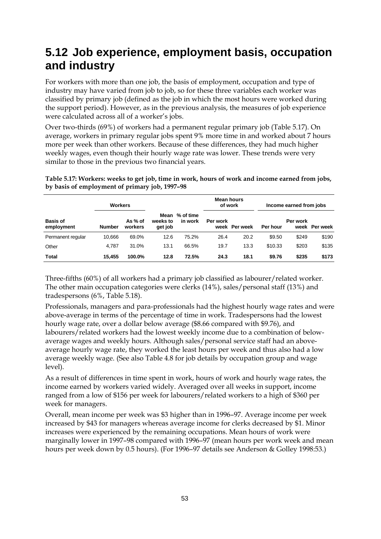## **5.12 Job experience, employment basis, occupation and industry**

For workers with more than one job, the basis of employment, occupation and type of industry may have varied from job to job, so for these three variables each worker was classified by primary job (defined as the job in which the most hours were worked during the support period). However, as in the previous analysis, the measures of job experience were calculated across all of a worker's jobs.

Over two-thirds (69%) of workers had a permanent regular primary job (Table 5.17). On average, workers in primary regular jobs spent 9% more time in and worked about 7 hours more per week than other workers. Because of these differences, they had much higher weekly wages, even though their hourly wage rate was lower. These trends were very similar to those in the previous two financial years.

**Workers Mean hours of work Income earned from jobs Basis of employment Number As % of workers Mean % of time weeks to get job in work Per work week Per week Per hour Per work week Per week** Permanent regular 10,666 69.0% 12.6 75.2% 26.4 20.2 \$9.50 \$249 \$190

Other 4,787 31.0% 13.1 66.5% 19.7 13.3 \$10.33 \$203 \$135 **Total 15,455 100.0% 12.8 72.5% 24.3 18.1 \$9.76 \$235 \$173**

**Table 5.17: Workers: weeks to get job, time in work, hours of work and income earned from jobs, by basis of employment of primary job, 1997–98**

Three-fifths (60%) of all workers had a primary job classified as labourer/related worker. The other main occupation categories were clerks (14%), sales/personal staff (13%) and tradespersons (6%, Table 5.18).

Professionals, managers and para-professionals had the highest hourly wage rates and were above-average in terms of the percentage of time in work. Tradespersons had the lowest hourly wage rate, over a dollar below average (\$8.66 compared with \$9.76), and labourers/related workers had the lowest weekly income due to a combination of belowaverage wages and weekly hours. Although sales/personal service staff had an aboveaverage hourly wage rate, they worked the least hours per week and thus also had a low average weekly wage. (See also Table 4.8 for job details by occupation group and wage level).

As a result of differences in time spent in work, hours of work and hourly wage rates, the income earned by workers varied widely. Averaged over all weeks in support, income ranged from a low of \$156 per week for labourers/related workers to a high of \$360 per week for managers.

Overall, mean income per week was \$3 higher than in 1996–97. Average income per week increased by \$43 for managers whereas average income for clerks decreased by \$1. Minor increases were experienced by the remaining occupations. Mean hours of work were marginally lower in 1997–98 compared with 1996–97 (mean hours per work week and mean hours per week down by 0.5 hours). (For 1996–97 details see Anderson & Golley 1998:53.)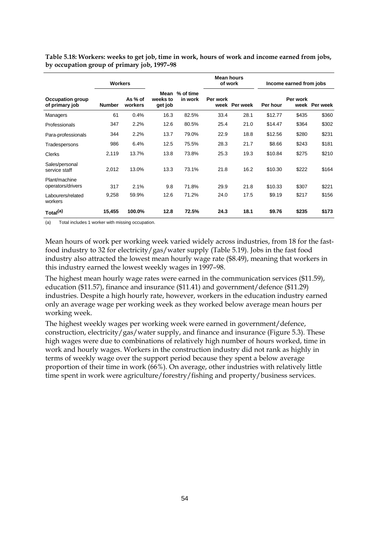|                                           | <b>Workers</b> |                    |                             |                      | <b>Mean hours</b><br>of work |          | Income earned from jobs |          |               |
|-------------------------------------------|----------------|--------------------|-----------------------------|----------------------|------------------------------|----------|-------------------------|----------|---------------|
| <b>Occupation group</b><br>of primary job | <b>Number</b>  | As % of<br>workers | Mean<br>weeks to<br>get job | % of time<br>in work | Per work<br>week             | Per week | Per hour                | Per work | week Per week |
| Managers                                  | 61             | 0.4%               | 16.3                        | 82.5%                | 33.4                         | 28.1     | \$12.77                 | \$435    | \$360         |
| Professionals                             | 347            | 2.2%               | 12.6                        | 80.5%                | 25.4                         | 21.0     | \$14.47                 | \$364    | \$302         |
| Para-professionals                        | 344            | 2.2%               | 13.7                        | 79.0%                | 22.9                         | 18.8     | \$12.56                 | \$280    | \$231         |
| Tradespersons                             | 986            | 6.4%               | 12.5                        | 75.5%                | 28.3                         | 21.7     | \$8.66                  | \$243    | \$181         |
| Clerks                                    | 2,119          | 13.7%              | 13.8                        | 73.8%                | 25.3                         | 19.3     | \$10.84                 | \$275    | \$210         |
| Sales/personal<br>service staff           | 2,012          | 13.0%              | 13.3                        | 73.1%                | 21.8                         | 16.2     | \$10.30                 | \$222    | \$164         |
| Plant/machine<br>operators/drivers        | 317            | 2.1%               | 9.8                         | 71.8%                | 29.9                         | 21.8     | \$10.33                 | \$307    | \$221         |
| Labourers/related<br>workers              | 9,258          | 59.9%              | 12.6                        | 71.2%                | 24.0                         | 17.5     | \$9.19                  | \$217    | \$156         |
| Total <sup>(a)</sup>                      | 15,455         | 100.0%             | 12.8                        | 72.5%                | 24.3                         | 18.1     | \$9.76                  | \$235    | \$173         |

**Table 5.18: Workers: weeks to get job, time in work, hours of work and income earned from jobs, by occupation group of primary job, 1997–98**

(a) Total includes 1 worker with missing occupation.

Mean hours of work per working week varied widely across industries, from 18 for the fastfood industry to 32 for electricity/gas/water supply (Table 5.19). Jobs in the fast food industry also attracted the lowest mean hourly wage rate (\$8.49), meaning that workers in this industry earned the lowest weekly wages in 1997–98.

The highest mean hourly wage rates were earned in the communication services (\$11.59), education (\$11.57), finance and insurance (\$11.41) and government/defence (\$11.29) industries. Despite a high hourly rate, however, workers in the education industry earned only an average wage per working week as they worked below average mean hours per working week.

The highest weekly wages per working week were earned in government/defence, construction, electricity/gas/water supply, and finance and insurance (Figure 5.3). These high wages were due to combinations of relatively high number of hours worked, time in work and hourly wages. Workers in the construction industry did not rank as highly in terms of weekly wage over the support period because they spent a below average proportion of their time in work (66%). On average, other industries with relatively little time spent in work were agriculture/forestry/fishing and property/business services.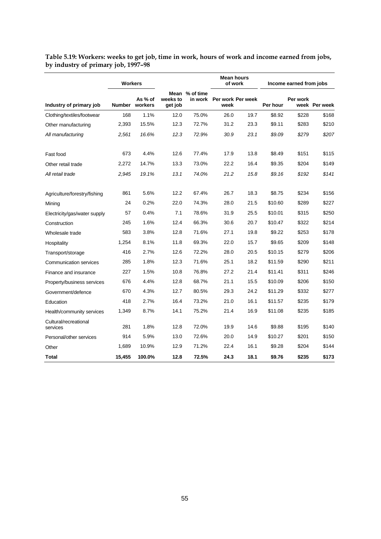|                                   | <b>Workers</b> |                           |                     |                           | <b>Mean hours</b><br>of work |      | Income earned from jobs |          |               |  |
|-----------------------------------|----------------|---------------------------|---------------------|---------------------------|------------------------------|------|-------------------------|----------|---------------|--|
| Industry of primary job           |                | As % of<br>Number workers | weeks to<br>get job | Mean % of time<br>in work | Per work Per week<br>week    |      | Per hour                | Per work | week Per week |  |
| Clothing/textiles/footwear        | 168            | 1.1%                      | 12.0                | 75.0%                     | 26.0                         | 19.7 | \$8.92                  | \$228    | \$168         |  |
| Other manufacturing               | 2,393          | 15.5%                     | 12.3                | 72.7%                     | 31.2                         | 23.3 | \$9.11                  | \$283    | \$210         |  |
| All manufacturing                 | 2,561          | 16.6%                     | 12.3                | 72.9%                     | 30.9                         | 23.1 | \$9.09                  | \$279    | \$207         |  |
| Fast food                         | 673            | 4.4%                      | 12.6                | 77.4%                     | 17.9                         | 13.8 | \$8.49                  | \$151    | \$115         |  |
| Other retail trade                | 2,272          | 14.7%                     | 13.3                | 73.0%                     | 22.2                         | 16.4 | \$9.35                  | \$204    | \$149         |  |
| All retail trade                  | 2,945          | 19.1%                     | 13.1                | 74.0%                     | 21.2                         | 15.8 | \$9.16                  | \$192    | \$141         |  |
| Agriculture/forestry/fishing      | 861            | 5.6%                      | 12.2                | 67.4%                     | 26.7                         | 18.3 | \$8.75                  | \$234    | \$156         |  |
| Mining                            | 24             | 0.2%                      | 22.0                | 74.3%                     | 28.0                         | 21.5 | \$10.60                 | \$289    | \$227         |  |
| Electricity/gas/water supply      | 57             | 0.4%                      | 7.1                 | 78.6%                     | 31.9                         | 25.5 | \$10.01                 | \$315    | \$250         |  |
| Construction                      | 245            | 1.6%                      | 12.4                | 66.3%                     | 30.6                         | 20.7 | \$10.47                 | \$322    | \$214         |  |
| Wholesale trade                   | 583            | 3.8%                      | 12.8                | 71.6%                     | 27.1                         | 19.8 | \$9.22                  | \$253    | \$178         |  |
| Hospitality                       | 1,254          | 8.1%                      | 11.8                | 69.3%                     | 22.0                         | 15.7 | \$9.65                  | \$209    | \$148         |  |
| Transport/storage                 | 416            | 2.7%                      | 12.6                | 72.2%                     | 28.0                         | 20.5 | \$10.15                 | \$279    | \$206         |  |
| <b>Communication services</b>     | 285            | 1.8%                      | 12.3                | 71.6%                     | 25.1                         | 18.2 | \$11.59                 | \$290    | \$211         |  |
| Finance and insurance             | 227            | 1.5%                      | 10.8                | 76.8%                     | 27.2                         | 21.4 | \$11.41                 | \$311    | \$246         |  |
| Property/business services        | 676            | 4.4%                      | 12.8                | 68.7%                     | 21.1                         | 15.5 | \$10.09                 | \$206    | \$150         |  |
| Government/defence                | 670            | 4.3%                      | 12.7                | 80.5%                     | 29.3                         | 24.2 | \$11.29                 | \$332    | \$277         |  |
| Education                         | 418            | 2.7%                      | 16.4                | 73.2%                     | 21.0                         | 16.1 | \$11.57                 | \$235    | \$179         |  |
| Health/community services         | 1,349          | 8.7%                      | 14.1                | 75.2%                     | 21.4                         | 16.9 | \$11.08                 | \$235    | \$185         |  |
| Cultural/recreational<br>services | 281            | 1.8%                      | 12.8                | 72.0%                     | 19.9                         | 14.6 | \$9.88                  | \$195    | \$140         |  |
| Personal/other services           | 914            | 5.9%                      | 13.0                | 72.6%                     | 20.0                         | 14.9 | \$10.27                 | \$201    | \$150         |  |
| Other                             | 1,689          | 10.9%                     | 12.9                | 71.2%                     | 22.4                         | 16.1 | \$9.28                  | \$204    | \$144         |  |
| Total                             | 15,455         | 100.0%                    | 12.8                | 72.5%                     | 24.3                         | 18.1 | \$9.76                  | \$235    | \$173         |  |

**Table 5.19: Workers: weeks to get job, time in work, hours of work and income earned from jobs, by industry of primary job, 1997–98**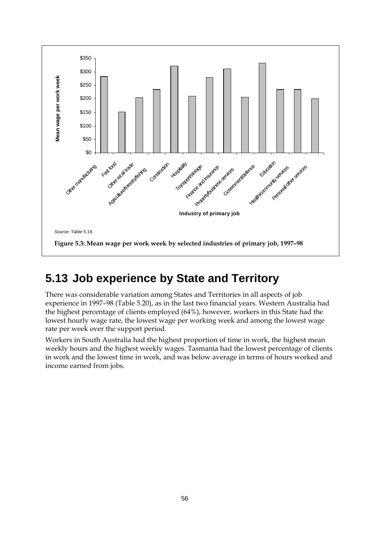

## **5.13 Job experience by State and Territory**

There was considerable variation among States and Territories in all aspects of job experience in 1997–98 (Table 5.20), as in the last two financial years. Western Australia had the highest percentage of clients employed (64%), however, workers in this State had the lowest hourly wage rate, the lowest wage per working week and among the lowest wage rate per week over the support period.

Workers in South Australia had the highest proportion of time in work, the highest mean weekly hours and the highest weekly wages. Tasmania had the lowest percentage of clients in work and the lowest time in work, and was below average in terms of hours worked and income earned from jobs.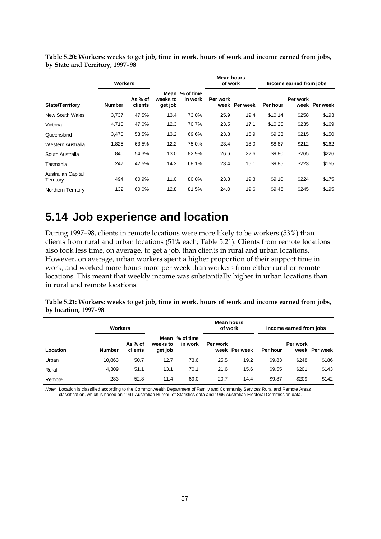|                                        | <b>Workers</b> |                    |                             |                      | <b>Mean hours</b><br>of work |               | Income earned from jobs |          |               |
|----------------------------------------|----------------|--------------------|-----------------------------|----------------------|------------------------------|---------------|-------------------------|----------|---------------|
| <b>State/Territory</b>                 | <b>Number</b>  | As % of<br>clients | Mean<br>weeks to<br>get job | % of time<br>in work | Per work                     | week Per week | Per hour                | Per work | week Per week |
| New South Wales                        | 3,737          | 47.5%              | 13.4                        | 73.0%                | 25.9                         | 19.4          | \$10.14                 | \$258    | \$193         |
| Victoria                               | 4,710          | 47.0%              | 12.3                        | 70.7%                | 23.5                         | 17.1          | \$10.25                 | \$235    | \$169         |
| Queensland                             | 3,470          | 53.5%              | 13.2                        | 69.6%                | 23.8                         | 16.9          | \$9.23                  | \$215    | \$150         |
| Western Australia                      | 1,825          | 63.5%              | 12.2                        | 75.0%                | 23.4                         | 18.0          | \$8.87                  | \$212    | \$162         |
| South Australia                        | 840            | 54.3%              | 13.0                        | 82.9%                | 26.6                         | 22.6          | \$9.80                  | \$265    | \$226         |
| Tasmania                               | 247            | 42.5%              | 14.2                        | 68.1%                | 23.4                         | 16.1          | \$9.85                  | \$223    | \$155         |
| <b>Australian Capital</b><br>Territory | 494            | 60.9%              | 11.0                        | 80.0%                | 23.8                         | 19.3          | \$9.10                  | \$224    | \$175         |
| Northern Territory                     | 132            | 60.0%              | 12.8                        | 81.5%                | 24.0                         | 19.6          | \$9.46                  | \$245    | \$195         |

**Table 5.20: Workers: weeks to get job, time in work, hours of work and income earned from jobs, by State and Territory, 1997–98**

#### **5.14 Job experience and location**

During 1997–98, clients in remote locations were more likely to be workers (53%) than clients from rural and urban locations (51% each; Table 5.21). Clients from remote locations also took less time, on average, to get a job, than clients in rural and urban locations. However, on average, urban workers spent a higher proportion of their support time in work, and worked more hours more per week than workers from either rural or remote locations. This meant that weekly income was substantially higher in urban locations than in rural and remote locations.

**Table 5.21: Workers: weeks to get job, time in work, hours of work and income earned from jobs, by location, 1997–98**

|          | <b>Workers</b> |                    |                             |                      | <b>Mean hours</b><br>of work |               | Income earned from jobs |          |               |
|----------|----------------|--------------------|-----------------------------|----------------------|------------------------------|---------------|-------------------------|----------|---------------|
| Location | <b>Number</b>  | As % of<br>clients | Mean<br>weeks to<br>get job | % of time<br>in work | Per work                     | week Per week | Per hour                | Per work | week Per week |
| Urban    | 10,863         | 50.7               | 12.7                        | 73.6                 | 25.5                         | 19.2          | \$9.83                  | \$248    | \$186         |
| Rural    | 4,309          | 51.1               | 13.1                        | 70.1                 | 21.6                         | 15.6          | \$9.55                  | \$201    | \$143         |
| Remote   | 283            | 52.8               | 11.4                        | 69.0                 | 20.7                         | 14.4          | \$9.87                  | \$209    | \$142         |

*Note:* Location is classified according to the Commonwealth Department of Family and Community Services Rural and Remote Areas classification, which is based on 1991 Australian Bureau of Statistics data and 1996 Australian Electoral Commission data.